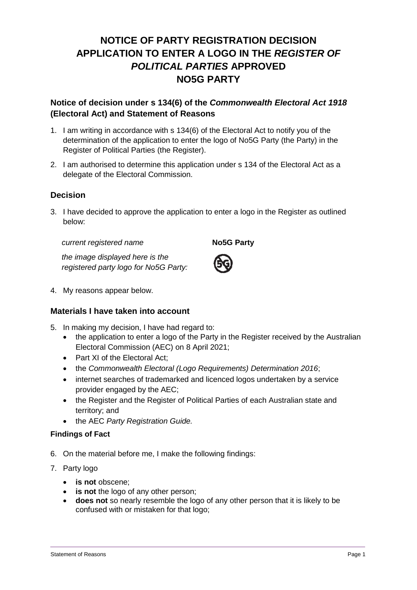# **NOTICE OF PARTY REGISTRATION DECISION APPLICATION TO ENTER A LOGO IN THE** *REGISTER OF POLITICAL PARTIES* **APPROVED NO5G PARTY**

## **Notice of decision under s 134(6) of the** *Commonwealth Electoral Act 1918* **(Electoral Act) and Statement of Reasons**

- 1. I am writing in accordance with s 134(6) of the Electoral Act to notify you of the determination of the application to enter the logo of No5G Party (the Party) in the Register of Political Parties (the Register).
- 2. I am authorised to determine this application under s 134 of the Electoral Act as a delegate of the Electoral Commission.

## **Decision**

3. I have decided to approve the application to enter a logo in the Register as outlined below:

*current registered name* **No5G Party** 

*the image displayed here is the* 

4. My reasons appear below.

### **Materials I have taken into account**

*registered party logo for No5G Party:*

- 5. In making my decision, I have had regard to:
	- the application to enter a logo of the Party in the Register received by the Australian Electoral Commission (AEC) on 8 April 2021;
	- Part XI of the Electoral Act:
	- the *Commonwealth Electoral (Logo Requirements) Determination 2016*;
	- internet searches of trademarked and licenced logos undertaken by a service provider engaged by the AEC;
	- the Register and the Register of Political Parties of each Australian state and territory; and
	- the AEC *Party Registration Guide.*

#### **Findings of Fact**

- 6. On the material before me, I make the following findings:
- 7. Party logo
	- **is not** obscene;
	- **is not** the logo of any other person;
	- **does not** so nearly resemble the logo of any other person that it is likely to be confused with or mistaken for that logo;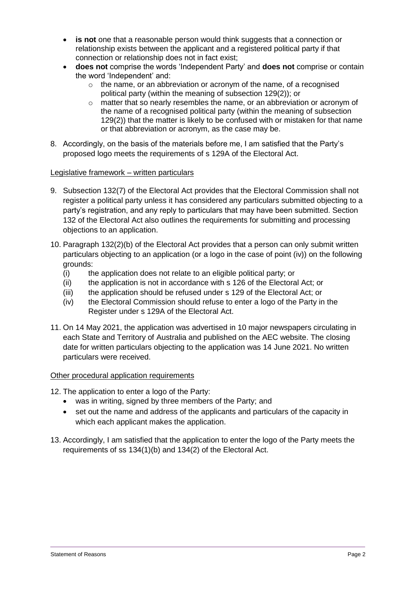- **is not** one that a reasonable person would think suggests that a connection or relationship exists between the applicant and a registered political party if that connection or relationship does not in fact exist;
- **does not** comprise the words 'Independent Party' and **does not** comprise or contain the word 'Independent' and:
	- $\circ$  the name, or an abbreviation or acronym of the name, of a recognised political party (within the meaning of subsection 129(2)); or
	- $\circ$  matter that so nearly resembles the name, or an abbreviation or acronym of the name of a recognised political party (within the meaning of subsection 129(2)) that the matter is likely to be confused with or mistaken for that name or that abbreviation or acronym, as the case may be.
- 8. Accordingly, on the basis of the materials before me, I am satisfied that the Party's proposed logo meets the requirements of s 129A of the Electoral Act.

#### Legislative framework – written particulars

- 9. Subsection 132(7) of the Electoral Act provides that the Electoral Commission shall not register a political party unless it has considered any particulars submitted objecting to a party's registration, and any reply to particulars that may have been submitted. Section 132 of the Electoral Act also outlines the requirements for submitting and processing objections to an application.
- 10. Paragraph 132(2)(b) of the Electoral Act provides that a person can only submit written particulars objecting to an application (or a logo in the case of point (iv)) on the following grounds:
	- (i) the application does not relate to an eligible political party; or
	- (ii) the application is not in accordance with s 126 of the Electoral Act; or
	- (iii) the application should be refused under s 129 of the Electoral Act; or
	- (iv) the Electoral Commission should refuse to enter a logo of the Party in the Register under s 129A of the Electoral Act.
- 11. On 14 May 2021, the application was advertised in 10 major newspapers circulating in each State and Territory of Australia and published on the AEC website. The closing date for written particulars objecting to the application was 14 June 2021. No written particulars were received.

#### Other procedural application requirements

- 12. The application to enter a logo of the Party:
	- was in writing, signed by three members of the Party; and
	- set out the name and address of the applicants and particulars of the capacity in which each applicant makes the application.
- 13. Accordingly, I am satisfied that the application to enter the logo of the Party meets the requirements of ss 134(1)(b) and 134(2) of the Electoral Act.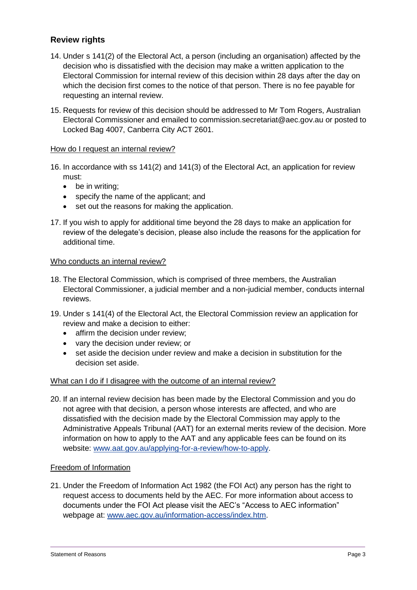## **Review rights**

- 14. Under s 141(2) of the Electoral Act, a person (including an organisation) affected by the decision who is dissatisfied with the decision may make a written application to the Electoral Commission for internal review of this decision within 28 days after the day on which the decision first comes to the notice of that person. There is no fee payable for requesting an internal review.
- 15. Requests for review of this decision should be addressed to Mr Tom Rogers, Australian Electoral Commissioner and emailed to commission.secretariat@aec.gov.au or posted to Locked Bag 4007, Canberra City ACT 2601.

#### How do I request an internal review?

- 16. In accordance with ss 141(2) and 141(3) of the Electoral Act, an application for review must:
	- be in writing;
	- specify the name of the applicant; and
	- set out the reasons for making the application.
- 17. If you wish to apply for additional time beyond the 28 days to make an application for review of the delegate's decision, please also include the reasons for the application for additional time.

#### Who conducts an internal review?

- 18. The Electoral Commission, which is comprised of three members, the Australian Electoral Commissioner, a judicial member and a non-judicial member, conducts internal reviews.
- 19. Under s 141(4) of the Electoral Act, the Electoral Commission review an application for review and make a decision to either:
	- affirm the decision under review;
	- vary the decision under review; or
	- set aside the decision under review and make a decision in substitution for the decision set aside.

#### What can I do if I disagree with the outcome of an internal review?

20. If an internal review decision has been made by the Electoral Commission and you do not agree with that decision, a person whose interests are affected, and who are dissatisfied with the decision made by the Electoral Commission may apply to the Administrative Appeals Tribunal (AAT) for an external merits review of the decision. More information on how to apply to the AAT and any applicable fees can be found on its website: [www.aat.gov.au/applying-for-a-review/how-to-apply.](http://www.aat.gov.au/applying-for-a-review/how-to-apply)

#### Freedom of Information

21. Under the Freedom of Information Act 1982 (the FOI Act) any person has the right to request access to documents held by the AEC. For more information about access to documents under the FOI Act please visit the AEC's "Access to AEC information" webpage at: [www.aec.gov.au/information-access/index.htm.](http://www.aec.gov.au/information-access/index.htm)